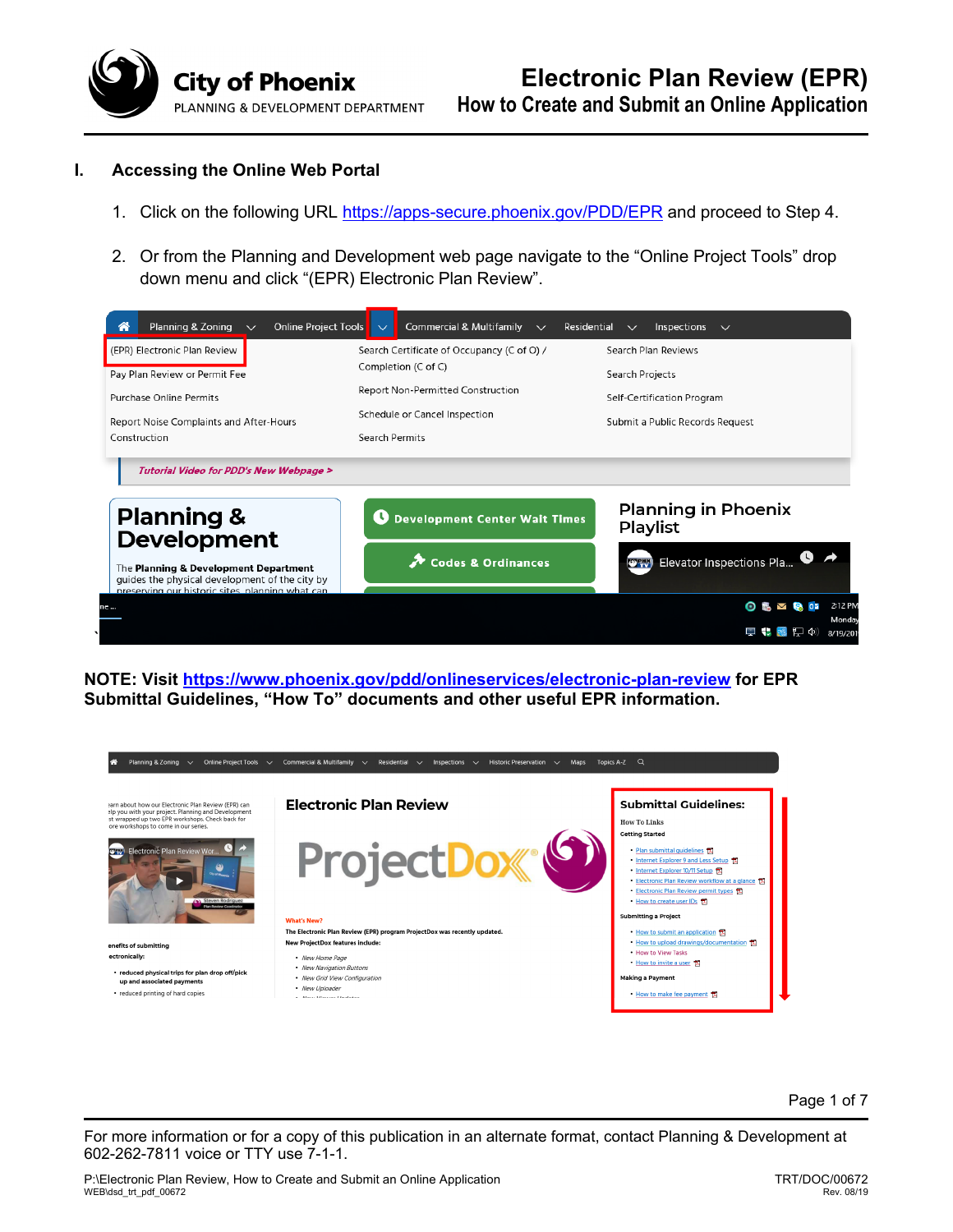

## **I. Accessing the Online Web Portal**

- 1. Click on the following URL https://apps-secure.phoenix.gov/PDD/EPR and proceed to Step 4.
- 2. Or from the Planning and Development web page navigate to the "Online Project Tools" drop down menu and click "(EPR) Electronic Plan Review".



**NOTE: Visit https://www.phoenix.gov/pdd/onlineservices/electronic-plan-review for EPR Submittal Guidelines, "How To" documents and other useful EPR information.** 



Page 1 of 7

For more information or for a copy of this publication in an alternate format, contact Planning & Development at 602-262-7811 voice or TTY use 7-1-1.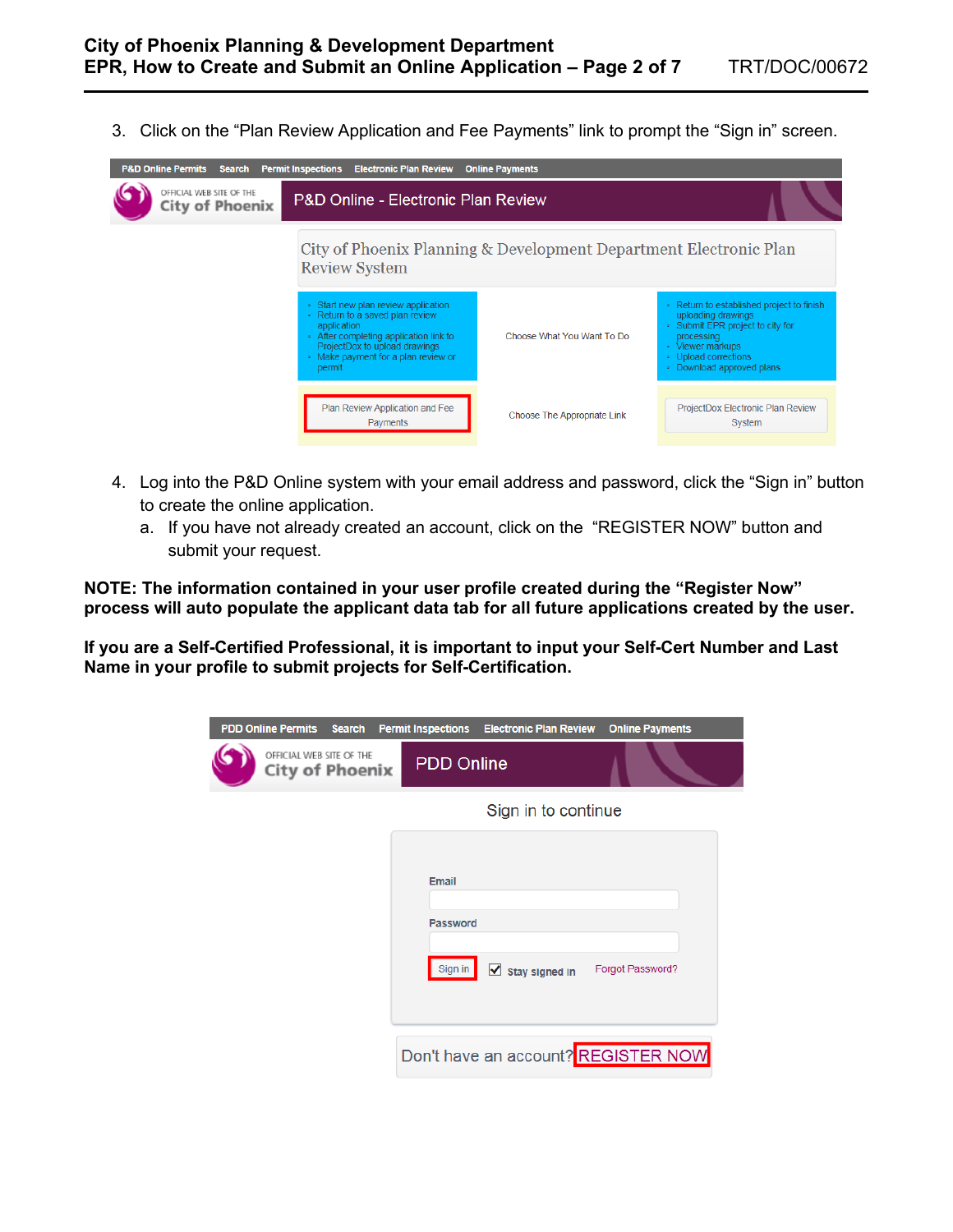3. Click on the "Plan Review Application and Fee Payments" link to prompt the "Sign in" screen.

| <b>P&amp;D Online Permits Search</b>               | <b>Permit Inspections</b><br><b>Electronic Plan Review</b>                                                                                                                                                        | <b>Online Payments</b>                                            |                                                                                                                                                                                            |
|----------------------------------------------------|-------------------------------------------------------------------------------------------------------------------------------------------------------------------------------------------------------------------|-------------------------------------------------------------------|--------------------------------------------------------------------------------------------------------------------------------------------------------------------------------------------|
| OFFICIAL WEB SITE OF THE<br><b>City of Phoenix</b> | <b>P&amp;D Online - Electronic Plan Review</b>                                                                                                                                                                    |                                                                   |                                                                                                                                                                                            |
|                                                    | <b>Review System</b>                                                                                                                                                                                              | City of Phoenix Planning & Development Department Electronic Plan |                                                                                                                                                                                            |
|                                                    | • Start new plan review application<br>• Return to a saved plan review<br>application<br>• After completing application link to<br>ProjectDox to upload drawings<br>• Make payment for a plan review or<br>permit | Choose What You Want To Do                                        | • Return to established project to finish<br>uploading drawings<br>. Submit EPR project to city for<br>processing<br>• Viewer markups<br>• Upload corrections<br>• Download approved plans |
|                                                    | Plan Review Application and Fee<br>Payments                                                                                                                                                                       | Choose The Appropriate Link                                       | ProjectDox Electronic Plan Review<br>System                                                                                                                                                |

- 4. Log into the P&D Online system with your email address and password, click the "Sign in" button to create the online application.
	- a. If you have not already created an account, click on the "REGISTER NOW" button and submit your request.

**NOTE: The information contained in your user profile created during the "Register Now" process will auto populate the applicant data tab for all future applications created by the user.** 

**If you are a Self-Certified Professional, it is important to input your Self-Cert Number and Last Name in your profile to submit projects for Self-Certification.**

| <b>PDD Online Permits Search</b>                   |  | <b>Permit Inspections</b> | <b>Electronic Plan Review</b> | <b>Online Payments</b>              |
|----------------------------------------------------|--|---------------------------|-------------------------------|-------------------------------------|
| OFFICIAL WEB SITE OF THE<br><b>City of Phoenix</b> |  | <b>PDD Online</b>         |                               |                                     |
|                                                    |  |                           | Sign in to continue           |                                     |
|                                                    |  |                           |                               |                                     |
|                                                    |  | <b>Email</b>              |                               |                                     |
|                                                    |  | <b>Password</b>           |                               |                                     |
|                                                    |  | Sign in                   | ✓<br><b>Stay signed in</b>    | Forgot Password?                    |
|                                                    |  |                           |                               | Don't have an account? REGISTER NOW |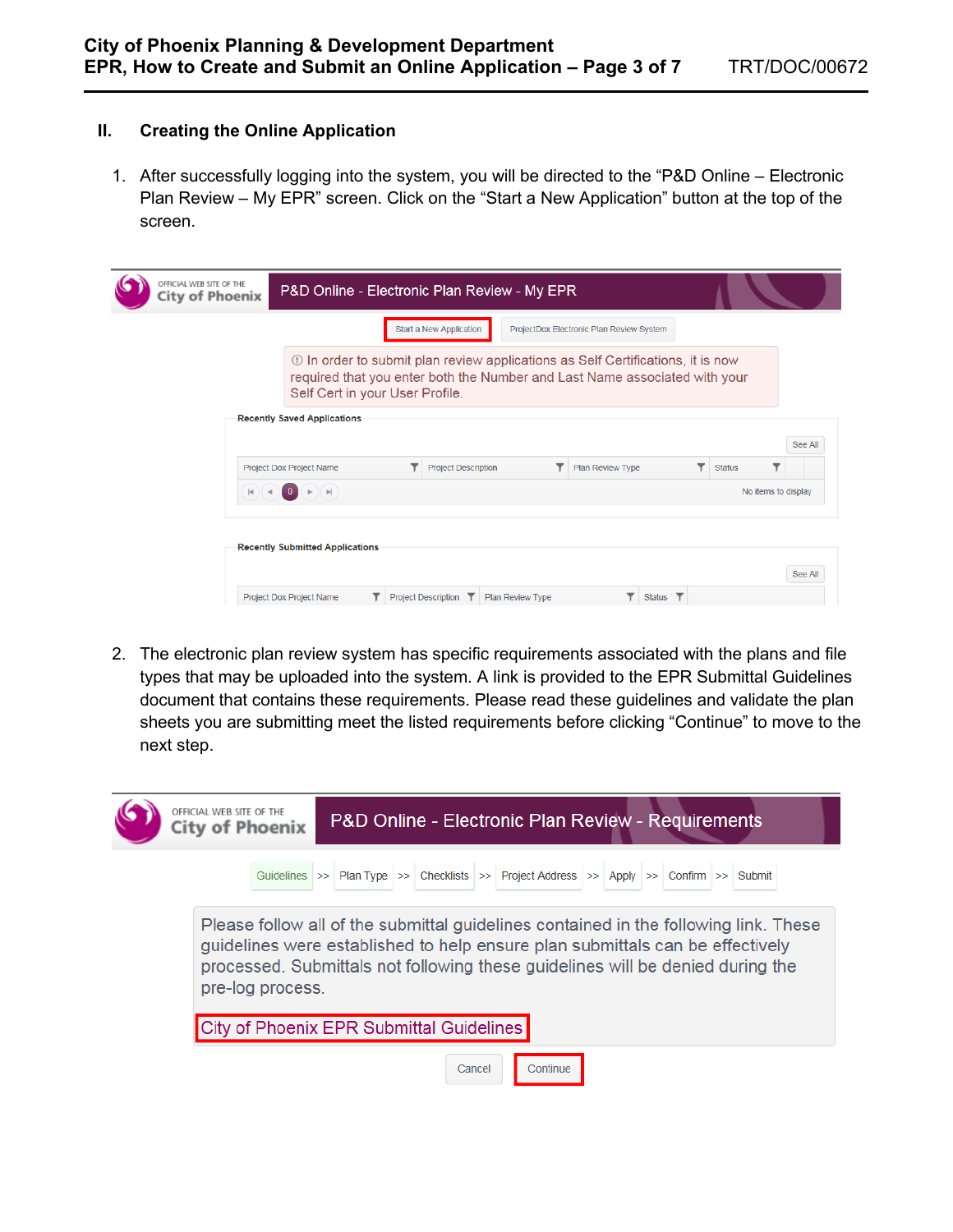## **II. Creating the Online Application**

1. After successfully logging into the system, you will be directed to the "P&D Online – Electronic Plan Review – My EPR" screen. Click on the "Start a New Application" button at the top of the screen.

| OFFICIAL WEB SITE OF THE<br><b>City of Phoenix</b> |                                                                                                                                                                                                         |                                                     |  | P&D Online - Electronic Plan Review - My EPR |                                          |               |  |  |
|----------------------------------------------------|---------------------------------------------------------------------------------------------------------------------------------------------------------------------------------------------------------|-----------------------------------------------------|--|----------------------------------------------|------------------------------------------|---------------|--|--|
|                                                    |                                                                                                                                                                                                         |                                                     |  | Start a New Application                      | ProjectDox Electronic Plan Review System |               |  |  |
|                                                    | <b>1</b> In order to submit plan review applications as Self Certifications, it is now<br>required that you enter both the Number and Last Name associated with your<br>Self Cert in your User Profile. |                                                     |  |                                              |                                          |               |  |  |
|                                                    |                                                                                                                                                                                                         | <b>Recently Saved Applications</b>                  |  |                                              |                                          |               |  |  |
|                                                    |                                                                                                                                                                                                         | <b>Project Dox Project Name</b>                     |  | <b>Project Description</b>                   | Plan Review Type                         | <b>Status</b> |  |  |
|                                                    |                                                                                                                                                                                                         | $\left\vert \nu \right\vert$<br>No items to display |  |                                              |                                          |               |  |  |
|                                                    |                                                                                                                                                                                                         | <b>Recently Submitted Applications</b>              |  |                                              |                                          |               |  |  |

2. The electronic plan review system has specific requirements associated with the plans and file types that may be uploaded into the system. A link is provided to the EPR Submittal Guidelines document that contains these requirements. Please read these guidelines and validate the plan sheets you are submitting meet the listed requirements before clicking "Continue" to move to the next step.

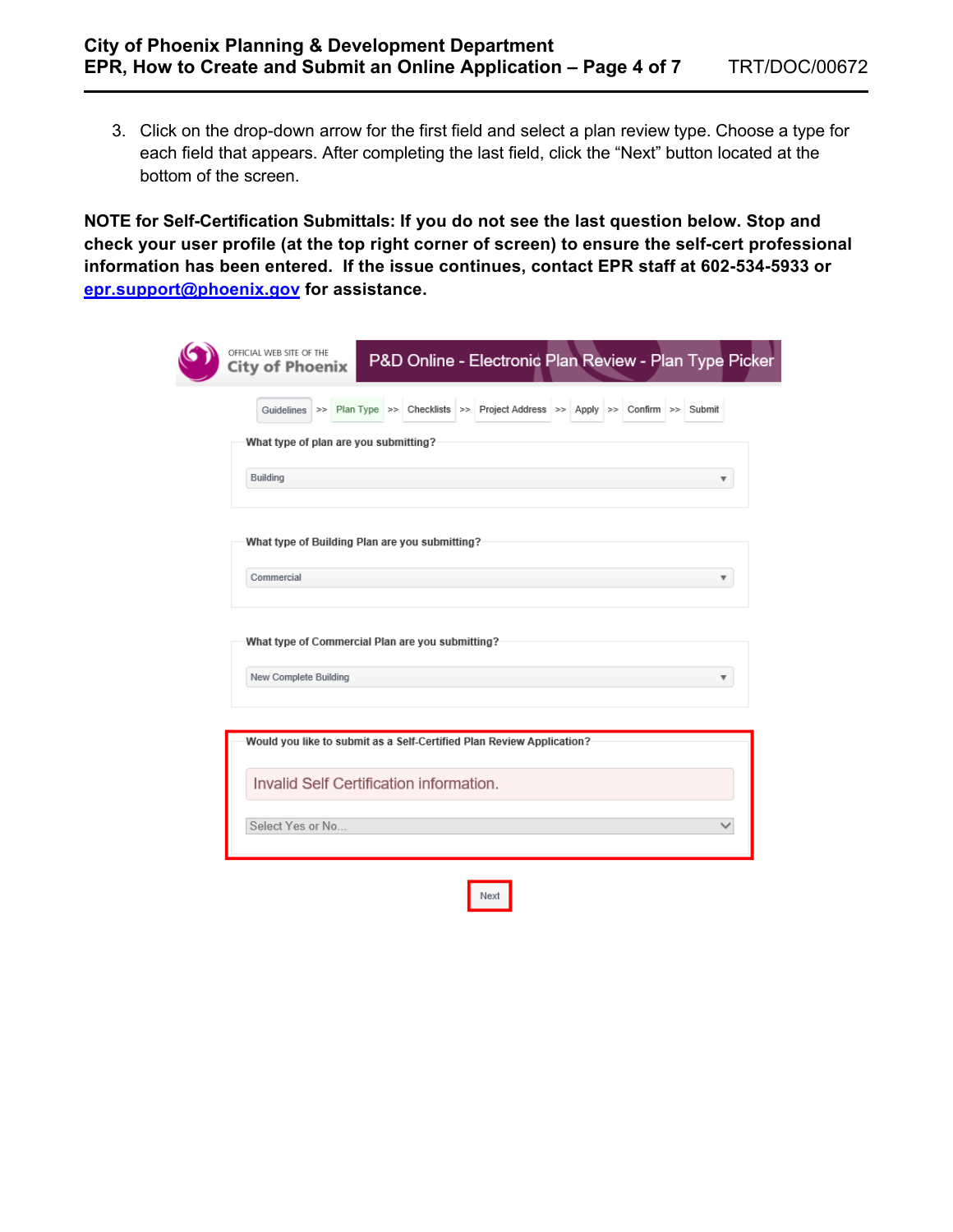3. Click on the drop-down arrow for the first field and select a plan review type. Choose a type for each field that appears. After completing the last field, click the "Next" button located at the bottom of the screen.

**NOTE for Self-Certification Submittals: If you do not see the last question below. Stop and check your user profile (at the top right corner of screen) to ensure the self-cert professional information has been entered. If the issue continues, contact EPR staff at 602-534-5933 or epr.support@phoenix.gov for assistance.** 

|                                                                       | Guidelines >> Plan Type >> Checklists >> Project Address >> Apply >> Confirm >> Submit |  |   |
|-----------------------------------------------------------------------|----------------------------------------------------------------------------------------|--|---|
| What type of plan are you submitting?                                 |                                                                                        |  |   |
| Building                                                              |                                                                                        |  | ▼ |
| What type of Building Plan are you submitting?<br>Commercial          |                                                                                        |  | ▼ |
|                                                                       |                                                                                        |  |   |
| What type of Commercial Plan are you submitting?                      |                                                                                        |  |   |
| New Complete Building                                                 |                                                                                        |  |   |
|                                                                       |                                                                                        |  |   |
|                                                                       |                                                                                        |  |   |
| Would you like to submit as a Self-Certified Plan Review Application? |                                                                                        |  |   |
| Invalid Self Certification information.                               |                                                                                        |  |   |

Next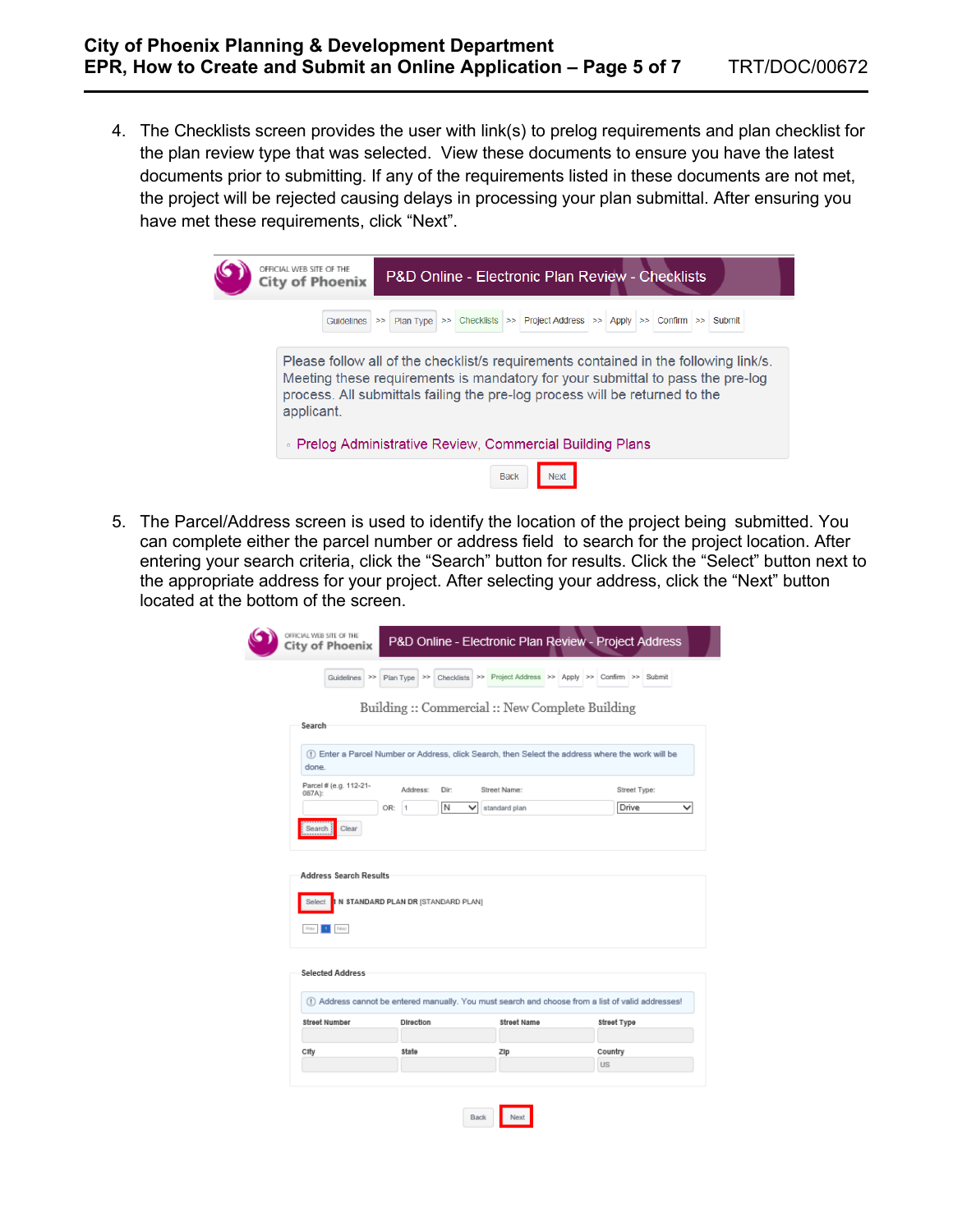4. The Checklists screen provides the user with link(s) to prelog requirements and plan checklist for the plan review type that was selected. View these documents to ensure you have the latest documents prior to submitting. If any of the requirements listed in these documents are not met, the project will be rejected causing delays in processing your plan submittal. After ensuring you have met these requirements, click "Next".

| OFFICIAL WEB SITE OF THE<br><b>P&amp;D Online - Electronic Plan Review - Checklists</b><br><b>City of Phoenix</b>                                                                                                                                                   |  |  |  |  |  |  |
|---------------------------------------------------------------------------------------------------------------------------------------------------------------------------------------------------------------------------------------------------------------------|--|--|--|--|--|--|
| Guidelines >> Plan Type >> Checklists >> Project Address >> Apply >> Confirm >> Submit                                                                                                                                                                              |  |  |  |  |  |  |
| Please follow all of the checklist's requirements contained in the following link's.<br>Meeting these requirements is mandatory for your submittal to pass the pre-log<br>process. All submittals failing the pre-log process will be returned to the<br>applicant. |  |  |  |  |  |  |
| ∘ Prelog Administrative Review, Commercial Building Plans                                                                                                                                                                                                           |  |  |  |  |  |  |
| <b>Back</b><br><b>Next</b>                                                                                                                                                                                                                                          |  |  |  |  |  |  |

5. The Parcel/Address screen is used to identify the location of the project being submitted. You can complete either the parcel number or address field to search for the project location. After entering your search criteria, click the "Search" button for results. Click the "Select" button next to the appropriate address for your project. After selecting your address, click the "Next" button located at the bottom of the screen.

| <b>City of Phoenix</b>           |                                      |                                                             |                                                                                                                   |
|----------------------------------|--------------------------------------|-------------------------------------------------------------|-------------------------------------------------------------------------------------------------------------------|
|                                  | Guidelines >> Plan Type >>           | Checklists >> Project Address >> Apply >> Confirm >> Submit |                                                                                                                   |
|                                  |                                      | Building :: Commercial :: New Complete Building             |                                                                                                                   |
| Search                           |                                      |                                                             |                                                                                                                   |
| done.                            |                                      |                                                             | (1) Enter a Parcel Number or Address, click Search, then Select the address where the work will be                |
| Parcel # (e.g. 112-21-<br>087A): | Address:<br>Dir:                     | Street Name:                                                | Street Type:                                                                                                      |
|                                  | N<br>OR: 1                           | $\check{ }$<br>standard plan                                | Drive                                                                                                             |
| <b>Address Search Results</b>    |                                      |                                                             |                                                                                                                   |
| Select<br>Prev   1               | 1 N STANDARD PLAN DR [STANDARD PLAN] |                                                             |                                                                                                                   |
| <b>Selected Address</b>          |                                      |                                                             |                                                                                                                   |
| <b>Street Number</b>             | Direction                            | Street Name                                                 | (1) Address cannot be entered manually. You must search and choose from a list of valid addresses!<br>Street Type |
| City                             | State                                | ZIp                                                         | Country                                                                                                           |

Back Next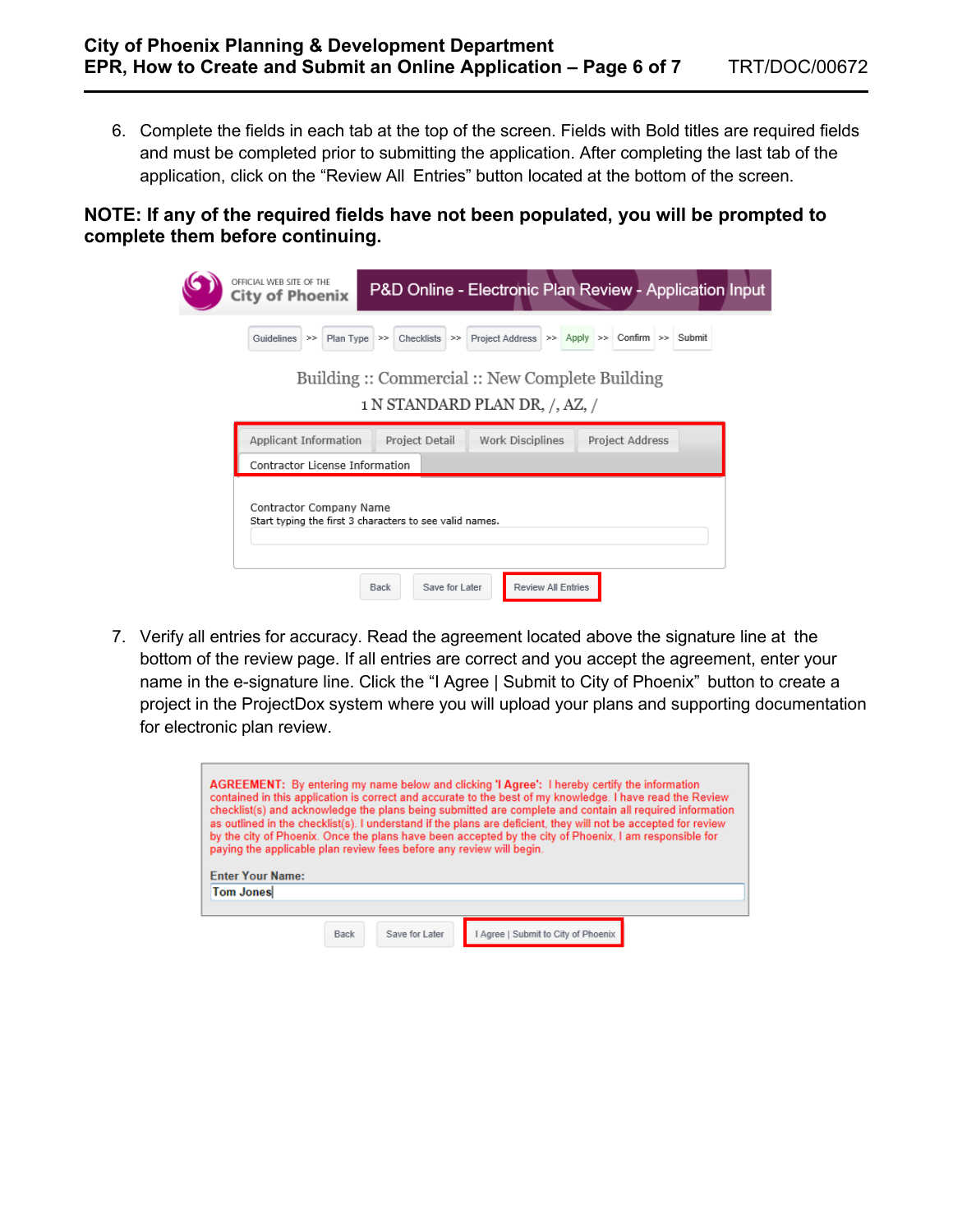6. Complete the fields in each tab at the top of the screen. Fields with Bold titles are required fields and must be completed prior to submitting the application. After completing the last tab of the application, click on the "Review All Entries" button located at the bottom of the screen.

## **NOTE: If any of the required fields have not been populated, you will be prompted to complete them before continuing.**

| OFFICIAL WEB SITE OF THE<br>P&D Online - Electronic Plan Review - Application Input<br><b>City of Phoenix</b>    |  |  |  |  |  |  |
|------------------------------------------------------------------------------------------------------------------|--|--|--|--|--|--|
| Project Address >> Apply >> Confirm >> Submit<br>Plan Type $\gg$<br>$Checklists$ >><br>Guidelines $\gg$          |  |  |  |  |  |  |
| Building :: Commercial :: New Complete Building<br>1 N STANDARD PLAN DR, /, AZ, /                                |  |  |  |  |  |  |
| Applicant Information<br>Work Disciplines<br>Project Detail<br>Project Address<br>Contractor License Information |  |  |  |  |  |  |
| Contractor Company Name<br>Start typing the first 3 characters to see valid names.                               |  |  |  |  |  |  |
| Save for Later<br>Back<br><b>Review All Entries</b>                                                              |  |  |  |  |  |  |

7. Verify all entries for accuracy. Read the agreement located above the signature line at the bottom of the review page. If all entries are correct and you accept the agreement, enter your name in the e-signature line. Click the "I Agree | Submit to City of Phoenix" button to create a project in the ProjectDox system where you will upload your plans and supporting documentation for electronic plan review.

| AGREEMENT: By entering my name below and clicking 'I Agree': I hereby certify the information<br>contained in this application is correct and accurate to the best of my knowledge. I have read the Review<br>checklist(s) and acknowledge the plans being submitted are complete and contain all required information<br>as outlined in the checklist(s). I understand if the plans are deficient, they will not be accepted for review<br>by the city of Phoenix. Once the plans have been accepted by the city of Phoenix, I am responsible for<br>paying the applicable plan review fees before any review will begin. |      |                |                                   |  |  |  |  |
|----------------------------------------------------------------------------------------------------------------------------------------------------------------------------------------------------------------------------------------------------------------------------------------------------------------------------------------------------------------------------------------------------------------------------------------------------------------------------------------------------------------------------------------------------------------------------------------------------------------------------|------|----------------|-----------------------------------|--|--|--|--|
| <b>Enter Your Name:</b>                                                                                                                                                                                                                                                                                                                                                                                                                                                                                                                                                                                                    |      |                |                                   |  |  |  |  |
| <b>Tom Jones</b>                                                                                                                                                                                                                                                                                                                                                                                                                                                                                                                                                                                                           |      |                |                                   |  |  |  |  |
|                                                                                                                                                                                                                                                                                                                                                                                                                                                                                                                                                                                                                            |      |                |                                   |  |  |  |  |
|                                                                                                                                                                                                                                                                                                                                                                                                                                                                                                                                                                                                                            |      |                |                                   |  |  |  |  |
|                                                                                                                                                                                                                                                                                                                                                                                                                                                                                                                                                                                                                            | Back | Save for Later | Agree   Submit to City of Phoenix |  |  |  |  |